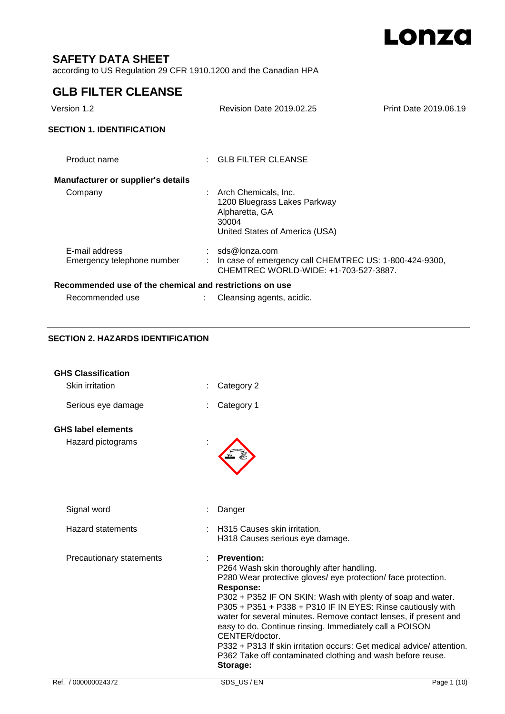

# **SAFETY DATA SHEET**

according to US Regulation 29 CFR 1910.1200 and the Canadian HPA

# **GLB FILTER CLEANSE**

| Version 1.2                                             | Revision Date 2019.02.25                                                                                             | Print Date 2019.06.19 |
|---------------------------------------------------------|----------------------------------------------------------------------------------------------------------------------|-----------------------|
| <b>SECTION 1. IDENTIFICATION</b>                        |                                                                                                                      |                       |
| Product name                                            | $\therefore$ GLB FILTER CLEANSE                                                                                      |                       |
| <b>Manufacturer or supplier's details</b>               |                                                                                                                      |                       |
| Company                                                 | Arch Chemicals, Inc.<br>1200 Bluegrass Lakes Parkway<br>Alpharetta, GA<br>30004<br>United States of America (USA)    |                       |
| E-mail address<br>Emergency telephone number            | $:$ sds@lonza.com<br>In case of emergency call CHEMTREC US: 1-800-424-9300,<br>CHEMTREC WORLD-WIDE: +1-703-527-3887. |                       |
| Recommended use of the chemical and restrictions on use |                                                                                                                      |                       |
| Recommended use                                         | Cleansing agents, acidic.                                                                                            |                       |

## **SECTION 2. HAZARDS IDENTIFICATION**

| <b>GHS Classification</b> |                                                                                                                                                                                                                                                                                                                                                                                                                                                                                                                                                                                |             |
|---------------------------|--------------------------------------------------------------------------------------------------------------------------------------------------------------------------------------------------------------------------------------------------------------------------------------------------------------------------------------------------------------------------------------------------------------------------------------------------------------------------------------------------------------------------------------------------------------------------------|-------------|
| Skin irritation           | Category 2                                                                                                                                                                                                                                                                                                                                                                                                                                                                                                                                                                     |             |
| Serious eye damage        | Category 1                                                                                                                                                                                                                                                                                                                                                                                                                                                                                                                                                                     |             |
| <b>GHS label elements</b> |                                                                                                                                                                                                                                                                                                                                                                                                                                                                                                                                                                                |             |
| Hazard pictograms         |                                                                                                                                                                                                                                                                                                                                                                                                                                                                                                                                                                                |             |
| Signal word               | Danger                                                                                                                                                                                                                                                                                                                                                                                                                                                                                                                                                                         |             |
| <b>Hazard statements</b>  | H315 Causes skin irritation.<br>H318 Causes serious eye damage.                                                                                                                                                                                                                                                                                                                                                                                                                                                                                                                |             |
| Precautionary statements  | <b>Prevention:</b><br>P264 Wash skin thoroughly after handling.<br>P280 Wear protective gloves/ eye protection/ face protection.<br>Response:<br>P302 + P352 IF ON SKIN: Wash with plenty of soap and water.<br>P305 + P351 + P338 + P310 IF IN EYES: Rinse cautiously with<br>water for several minutes. Remove contact lenses, if present and<br>easy to do. Continue rinsing. Immediately call a POISON<br>CENTER/doctor.<br>P332 + P313 If skin irritation occurs: Get medical advice/attention.<br>P362 Take off contaminated clothing and wash before reuse.<br>Storage: |             |
| Ref. / 000000024372       | SDS US/EN                                                                                                                                                                                                                                                                                                                                                                                                                                                                                                                                                                      | Page 1 (10) |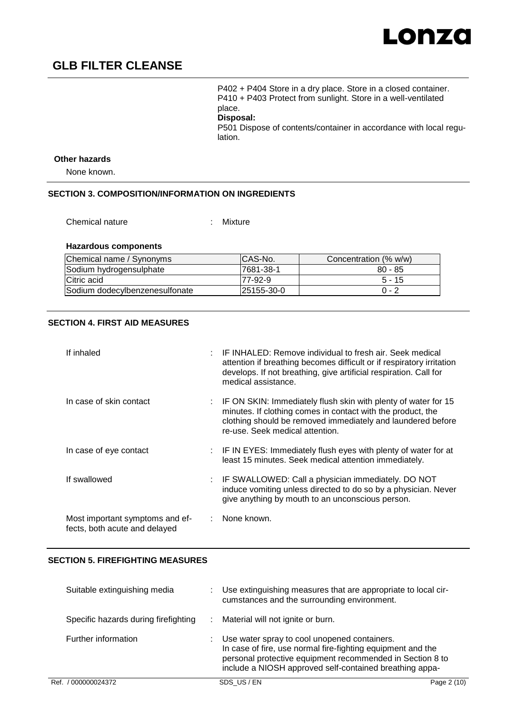

P402 + P404 Store in a dry place. Store in a closed container. P410 + P403 Protect from sunlight. Store in a well-ventilated place.

**Disposal:** 

P501 Dispose of contents/container in accordance with local regulation.

#### **Other hazards**

None known.

### **SECTION 3. COMPOSITION/INFORMATION ON INGREDIENTS**

Chemical nature : Mixture

### **Hazardous components**

| Chemical name / Synonyms       | ICAS-No.    | Concentration (% w/w) |
|--------------------------------|-------------|-----------------------|
| Sodium hydrogensulphate        | 17681-38-1  | $80 - 85$             |
| Citric acid                    | 77-92-9     | $5 - 15$              |
| Sodium dodecylbenzenesulfonate | 125155-30-0 | $0 - 2$               |

## **SECTION 4. FIRST AID MEASURES**

| If inhaled                                                       | IF INHALED: Remove individual to fresh air. Seek medical<br>attention if breathing becomes difficult or if respiratory irritation<br>develops. If not breathing, give artificial respiration. Call for<br>medical assistance.   |
|------------------------------------------------------------------|---------------------------------------------------------------------------------------------------------------------------------------------------------------------------------------------------------------------------------|
| In case of skin contact                                          | IF ON SKIN: Immediately flush skin with plenty of water for 15<br>minutes. If clothing comes in contact with the product, the<br>clothing should be removed immediately and laundered before<br>re-use. Seek medical attention. |
| In case of eye contact                                           | : IF IN EYES: Immediately flush eyes with plenty of water for at<br>least 15 minutes. Seek medical attention immediately.                                                                                                       |
| If swallowed                                                     | IF SWALLOWED: Call a physician immediately. DO NOT<br>induce vomiting unless directed to do so by a physician. Never<br>give anything by mouth to an unconscious person.                                                        |
| Most important symptoms and ef-<br>fects, both acute and delayed | : None known.                                                                                                                                                                                                                   |

### **SECTION 5. FIREFIGHTING MEASURES**

| Ref. / 000000024372                  | SDS US/EN                                                                                                                                                                                                                           | Page 2 (10) |
|--------------------------------------|-------------------------------------------------------------------------------------------------------------------------------------------------------------------------------------------------------------------------------------|-------------|
| Further information                  | Use water spray to cool unopened containers.<br>In case of fire, use normal fire-fighting equipment and the<br>personal protective equipment recommended in Section 8 to<br>include a NIOSH approved self-contained breathing appa- |             |
| Specific hazards during firefighting | Material will not ignite or burn.                                                                                                                                                                                                   |             |
| Suitable extinguishing media         | Use extinguishing measures that are appropriate to local cir-<br>cumstances and the surrounding environment.                                                                                                                        |             |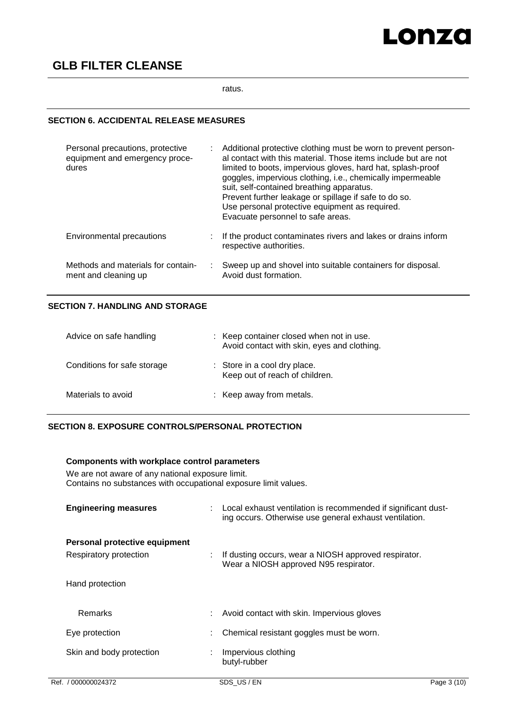# Lonza

# **GLB FILTER CLEANSE**

ratus.

# **SECTION 6. ACCIDENTAL RELEASE MEASURES**

| Personal precautions, protective<br>equipment and emergency proce-<br>dures | Additional protective clothing must be worn to prevent person-<br>al contact with this material. Those items include but are not<br>limited to boots, impervious gloves, hard hat, splash-proof<br>goggles, impervious clothing, i.e., chemically impermeable<br>suit, self-contained breathing apparatus.<br>Prevent further leakage or spillage if safe to do so.<br>Use personal protective equipment as required.<br>Evacuate personnel to safe areas. |
|-----------------------------------------------------------------------------|------------------------------------------------------------------------------------------------------------------------------------------------------------------------------------------------------------------------------------------------------------------------------------------------------------------------------------------------------------------------------------------------------------------------------------------------------------|
| Environmental precautions                                                   | If the product contaminates rivers and lakes or drains inform<br>respective authorities.                                                                                                                                                                                                                                                                                                                                                                   |
| Methods and materials for contain-<br>ment and cleaning up                  | Sweep up and shovel into suitable containers for disposal.<br>Avoid dust formation.                                                                                                                                                                                                                                                                                                                                                                        |

# **SECTION 7. HANDLING AND STORAGE**

| Advice on safe handling     | : Keep container closed when not in use.<br>Avoid contact with skin, eyes and clothing. |
|-----------------------------|-----------------------------------------------------------------------------------------|
| Conditions for safe storage | : Store in a cool dry place.<br>Keep out of reach of children.                          |
| Materials to avoid          | : Keep away from metals.                                                                |

# **SECTION 8. EXPOSURE CONTROLS/PERSONAL PROTECTION**

|  | Components with workplace control parameters                                                                        |  |                                                                                                                         |             |  |  |
|--|---------------------------------------------------------------------------------------------------------------------|--|-------------------------------------------------------------------------------------------------------------------------|-------------|--|--|
|  | We are not aware of any national exposure limit.<br>Contains no substances with occupational exposure limit values. |  |                                                                                                                         |             |  |  |
|  | <b>Engineering measures</b>                                                                                         |  | Local exhaust ventilation is recommended if significant dust-<br>ing occurs. Otherwise use general exhaust ventilation. |             |  |  |
|  | Personal protective equipment                                                                                       |  |                                                                                                                         |             |  |  |
|  | Respiratory protection                                                                                              |  | If dusting occurs, wear a NIOSH approved respirator.<br>Wear a NIOSH approved N95 respirator.                           |             |  |  |
|  | Hand protection                                                                                                     |  |                                                                                                                         |             |  |  |
|  | <b>Remarks</b>                                                                                                      |  | Avoid contact with skin. Impervious gloves                                                                              |             |  |  |
|  | Eye protection                                                                                                      |  | Chemical resistant goggles must be worn.                                                                                |             |  |  |
|  | Skin and body protection                                                                                            |  | Impervious clothing<br>butyl-rubber                                                                                     |             |  |  |
|  | Ref. / 000000024372                                                                                                 |  | SDS_US / EN                                                                                                             | Page 3 (10) |  |  |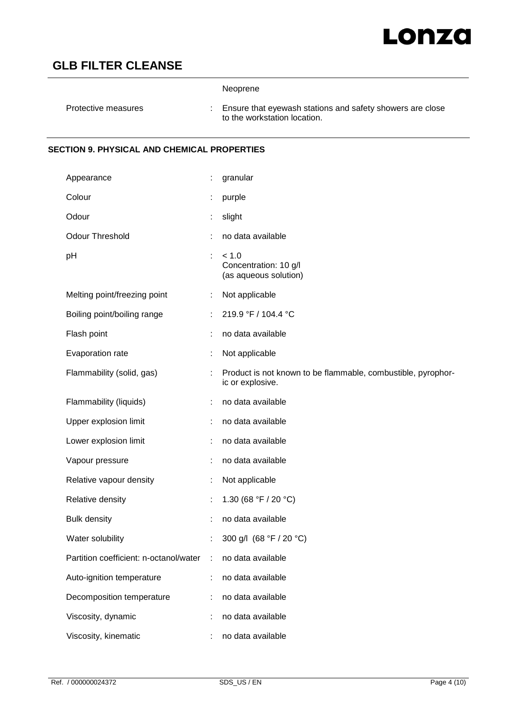# Lonza

# **GLB FILTER CLEANSE**

|                                                    |    | Neoprene                                                                                  |
|----------------------------------------------------|----|-------------------------------------------------------------------------------------------|
| Protective measures                                | ÷  | Ensure that eyewash stations and safety showers are close<br>to the workstation location. |
| <b>SECTION 9. PHYSICAL AND CHEMICAL PROPERTIES</b> |    |                                                                                           |
| Appearance                                         | t. | granular                                                                                  |
| Colour                                             |    | purple                                                                                    |
| Odour                                              | ÷  | slight                                                                                    |
| <b>Odour Threshold</b>                             |    | no data available                                                                         |
| pH                                                 | ÷  | < 1.0<br>Concentration: 10 g/l<br>(as aqueous solution)                                   |
| Melting point/freezing point                       |    | Not applicable                                                                            |
| Boiling point/boiling range                        |    | 219.9 °F / 104.4 °C                                                                       |
| Flash point                                        |    | no data available                                                                         |
| Evaporation rate                                   |    | Not applicable                                                                            |
| Flammability (solid, gas)                          |    | Product is not known to be flammable, combustible, pyrophor-<br>ic or explosive.          |
| Flammability (liquids)                             |    | no data available                                                                         |
| Upper explosion limit                              |    | no data available                                                                         |
| Lower explosion limit                              |    | no data available                                                                         |
| Vapour pressure                                    |    | no data available                                                                         |
| Relative vapour density                            |    | Not applicable                                                                            |
| Relative density                                   | ÷  | 1.30 (68 °F / 20 °C)                                                                      |
| <b>Bulk density</b>                                |    | no data available                                                                         |
| Water solubility                                   |    | 300 g/l (68 °F / 20 °C)                                                                   |
| Partition coefficient: n-octanol/water             | ÷  | no data available                                                                         |
| Auto-ignition temperature                          |    | no data available                                                                         |
| Decomposition temperature                          |    | no data available                                                                         |
| Viscosity, dynamic                                 |    | no data available                                                                         |
| Viscosity, kinematic                               |    | no data available                                                                         |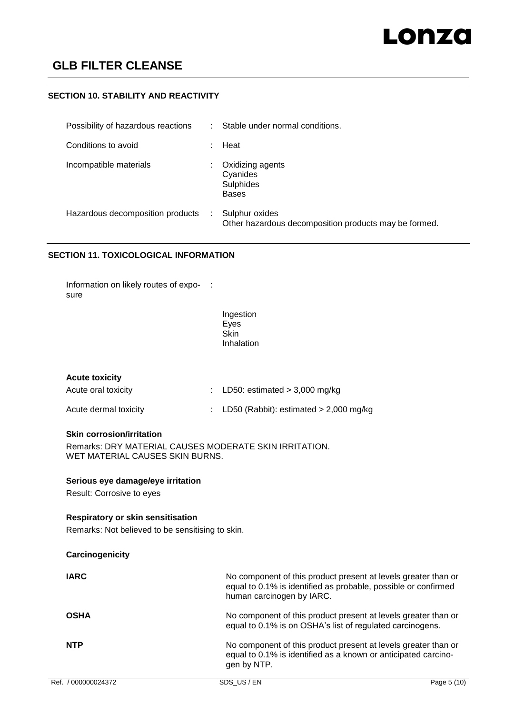### **SECTION 10. STABILITY AND REACTIVITY**

| Possibility of hazardous reactions | Stable under normal conditions.                                         |
|------------------------------------|-------------------------------------------------------------------------|
| Conditions to avoid                | Heat                                                                    |
| Incompatible materials             | Oxidizing agents<br>Cyanides<br>Sulphides<br><b>Bases</b>               |
| Hazardous decomposition products   | Sulphur oxides<br>Other hazardous decomposition products may be formed. |

### **SECTION 11. TOXICOLOGICAL INFORMATION**

Information on likely routes of expo- : sure

> Ingestion Eyes **Skin** Inhalation

Acute oral toxicity : LD50: estimated > 3,000 mg/kg Acute dermal toxicity : LD50 (Rabbit): estimated > 2,000 mg/kg

### **Skin corrosion/irritation**

Remarks: DRY MATERIAL CAUSES MODERATE SKIN IRRITATION. WET MATERIAL CAUSES SKIN BURNS.

### **Serious eye damage/eye irritation**

Result: Corrosive to eyes

### **Respiratory or skin sensitisation**

Remarks: Not believed to be sensitising to skin.

| Carcinogenicity     |                                                                                                                                                               |             |
|---------------------|---------------------------------------------------------------------------------------------------------------------------------------------------------------|-------------|
| <b>IARC</b>         | No component of this product present at levels greater than or<br>equal to 0.1% is identified as probable, possible or confirmed<br>human carcinogen by IARC. |             |
| <b>OSHA</b>         | No component of this product present at levels greater than or<br>equal to 0.1% is on OSHA's list of regulated carcinogens.                                   |             |
| <b>NTP</b>          | No component of this product present at levels greater than or<br>equal to 0.1% is identified as a known or anticipated carcino-<br>gen by NTP.               |             |
| Ref. / 000000024372 | SDS US/EN                                                                                                                                                     | Page 5 (10) |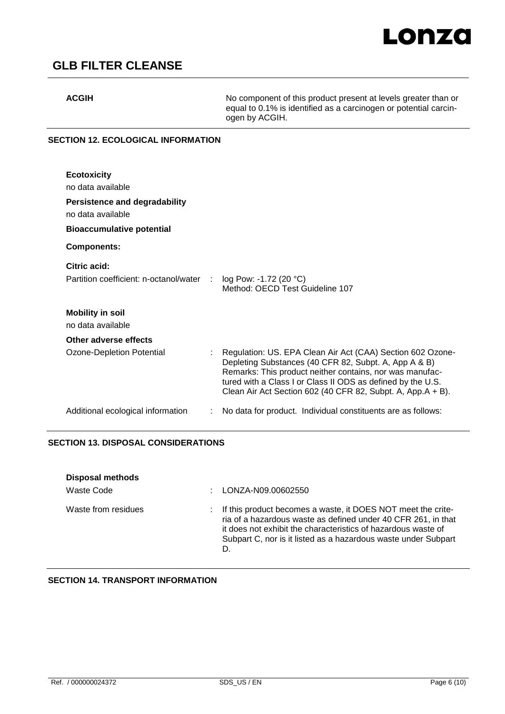**ACGIH** No component of this product present at levels greater than or equal to 0.1% is identified as a carcinogen or potential carcinogen by ACGIH.

# **SECTION 12. ECOLOGICAL INFORMATION**

| <b>Ecotoxicity</b><br>no data available<br>Persistence and degradability<br>no data available<br><b>Bioaccumulative potential</b> |                                                                                                                                                                                                                                                                                                               |
|-----------------------------------------------------------------------------------------------------------------------------------|---------------------------------------------------------------------------------------------------------------------------------------------------------------------------------------------------------------------------------------------------------------------------------------------------------------|
| <b>Components:</b>                                                                                                                |                                                                                                                                                                                                                                                                                                               |
| Citric acid:<br>Partition coefficient: n-octanol/water :                                                                          | $log$ Pow: -1.72 (20 $°C$ )<br>Method: OECD Test Guideline 107                                                                                                                                                                                                                                                |
| <b>Mobility in soil</b><br>no data available                                                                                      |                                                                                                                                                                                                                                                                                                               |
| Other adverse effects                                                                                                             |                                                                                                                                                                                                                                                                                                               |
| Ozone-Depletion Potential                                                                                                         | Regulation: US. EPA Clean Air Act (CAA) Section 602 Ozone-<br>Depleting Substances (40 CFR 82, Subpt. A, App A & B)<br>Remarks: This product neither contains, nor was manufac-<br>tured with a Class I or Class II ODS as defined by the U.S.<br>Clean Air Act Section 602 (40 CFR 82, Subpt. A, App.A + B). |
| Additional ecological information                                                                                                 | No data for product. Individual constituents are as follows:                                                                                                                                                                                                                                                  |

# **SECTION 13. DISPOSAL CONSIDERATIONS**

| <b>Disposal methods</b> | LONZA-N09.00602550                                                                                                                                                                                                                                                       |
|-------------------------|--------------------------------------------------------------------------------------------------------------------------------------------------------------------------------------------------------------------------------------------------------------------------|
| Waste Code              | ٠.                                                                                                                                                                                                                                                                       |
| Waste from residues     | : If this product becomes a waste, it DOES NOT meet the crite-<br>ria of a hazardous waste as defined under 40 CFR 261, in that<br>it does not exhibit the characteristics of hazardous waste of<br>Subpart C, nor is it listed as a hazardous waste under Subpart<br>D. |

# **SECTION 14. TRANSPORT INFORMATION**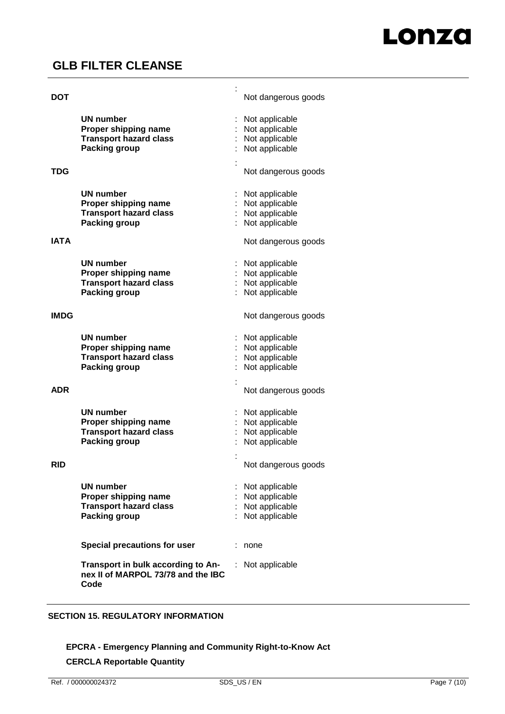## **DO**

| <b>DOT</b>  |                                                                                  | Not dangerous goods |
|-------------|----------------------------------------------------------------------------------|---------------------|
|             | <b>UN number</b>                                                                 | Not applicable      |
|             | Proper shipping name                                                             | Not applicable      |
|             | <b>Transport hazard class</b>                                                    | Not applicable      |
|             | <b>Packing group</b>                                                             | Not applicable      |
|             |                                                                                  |                     |
| <b>TDG</b>  |                                                                                  | Not dangerous goods |
|             | <b>UN number</b>                                                                 | Not applicable      |
|             | Proper shipping name                                                             | Not applicable      |
|             | <b>Transport hazard class</b>                                                    | Not applicable      |
|             | <b>Packing group</b>                                                             | Not applicable      |
| <b>IATA</b> |                                                                                  | Not dangerous goods |
|             |                                                                                  |                     |
|             | UN number                                                                        | Not applicable      |
|             | Proper shipping name                                                             | Not applicable      |
|             | <b>Transport hazard class</b>                                                    | Not applicable      |
|             | <b>Packing group</b>                                                             | Not applicable      |
| <b>IMDG</b> |                                                                                  | Not dangerous goods |
|             | <b>UN number</b>                                                                 | Not applicable      |
|             | Proper shipping name                                                             | Not applicable      |
|             | <b>Transport hazard class</b>                                                    | Not applicable      |
|             | <b>Packing group</b>                                                             | Not applicable      |
|             |                                                                                  |                     |
| <b>ADR</b>  |                                                                                  | Not dangerous goods |
|             | <b>UN number</b>                                                                 | Not applicable      |
|             | Proper shipping name                                                             | Not applicable      |
|             | <b>Transport hazard class</b>                                                    | Not applicable      |
|             | <b>Packing group</b>                                                             | Not applicable      |
|             |                                                                                  |                     |
| <b>RID</b>  |                                                                                  | Not dangerous goods |
|             | <b>UN number</b>                                                                 | Not applicable      |
|             | Proper shipping name                                                             | Not applicable      |
|             | <b>Transport hazard class</b>                                                    | Not applicable      |
|             | <b>Packing group</b>                                                             | Not applicable      |
|             | Special precautions for user                                                     | none                |
|             | Transport in bulk according to An-<br>nex II of MARPOL 73/78 and the IBC<br>Code | Not applicable      |

:

### **SECTION 15. REGULATORY INFORMATION**

# **EPCRA - Emergency Planning and Community Right-to-Know Act**

## **CERCLA Reportable Quantity**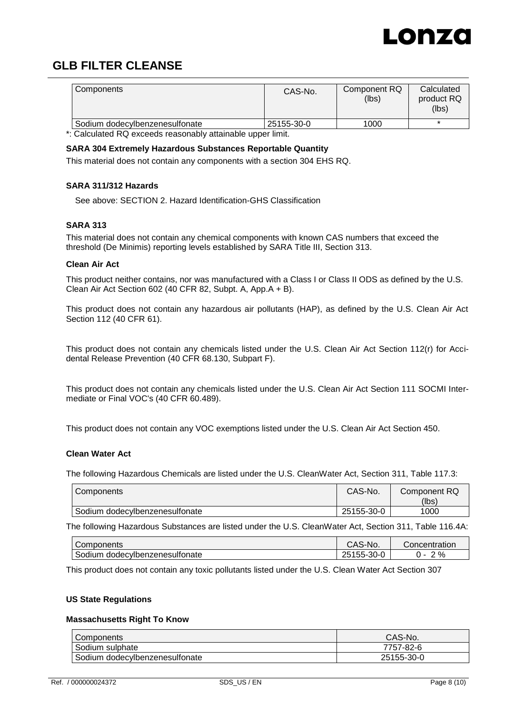

| Components                     | CAS-No.    | Component RQ<br>(lbs) | Calculated<br>product RQ<br>(lbs) |
|--------------------------------|------------|-----------------------|-----------------------------------|
| Sodium dodecylbenzenesulfonate | 25155-30-0 | 1000                  |                                   |

\*: Calculated RQ exceeds reasonably attainable upper limit.

#### **SARA 304 Extremely Hazardous Substances Reportable Quantity**

This material does not contain any components with a section 304 EHS RQ.

### **SARA 311/312 Hazards**

See above: SECTION 2. Hazard Identification-GHS Classification

### **SARA 313**

This material does not contain any chemical components with known CAS numbers that exceed the threshold (De Minimis) reporting levels established by SARA Title III, Section 313.

#### **Clean Air Act**

This product neither contains, nor was manufactured with a Class I or Class II ODS as defined by the U.S. Clean Air Act Section 602 (40 CFR 82, Subpt. A, App.A + B).

This product does not contain any hazardous air pollutants (HAP), as defined by the U.S. Clean Air Act Section 112 (40 CFR 61).

This product does not contain any chemicals listed under the U.S. Clean Air Act Section 112(r) for Accidental Release Prevention (40 CFR 68.130, Subpart F).

This product does not contain any chemicals listed under the U.S. Clean Air Act Section 111 SOCMI Intermediate or Final VOC's (40 CFR 60.489).

This product does not contain any VOC exemptions listed under the U.S. Clean Air Act Section 450.

### **Clean Water Act**

The following Hazardous Chemicals are listed under the U.S. CleanWater Act, Section 311, Table 117.3:

| Components                       | CAS-No.    | Component RQ |
|----------------------------------|------------|--------------|
|                                  |            | (lbs)        |
| I Sodium dodecylbenzenesulfonate | 25155-30-0 | 1000         |

The following Hazardous Substances are listed under the U.S. CleanWater Act, Section 311, Table 116.4A:

| Components                          | CAS-No.    | Concentration |
|-------------------------------------|------------|---------------|
| Sodium<br>i dodecvlbenzenesulfonate | 25155-30-0 | %             |

This product does not contain any toxic pollutants listed under the U.S. Clean Water Act Section 307

#### **US State Regulations**

### **Massachusetts Right To Know**

| Components                     | CAS-No.    |
|--------------------------------|------------|
| Sodium sulphate                | 7757-82-6  |
| Sodium dodecylbenzenesulfonate | 25155-30-0 |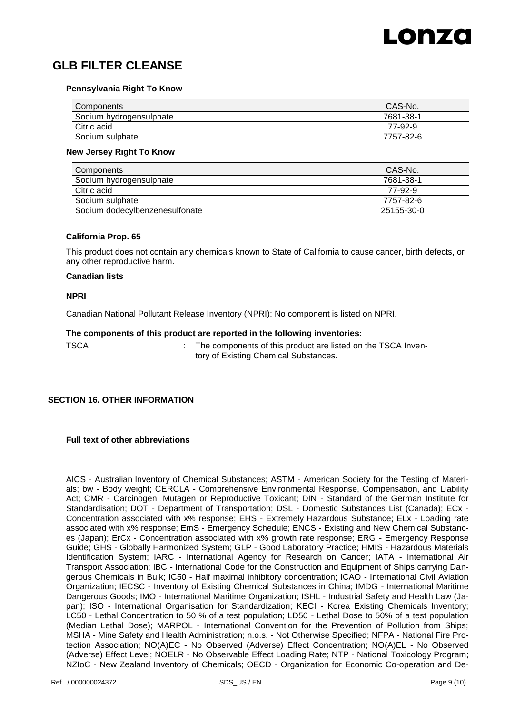

#### **Pennsylvania Right To Know**

| Components              | CAS-No.   |
|-------------------------|-----------|
| Sodium hydrogensulphate | 7681-38-1 |
| Citric acid             | 77-92-9   |
| Sodium sulphate         | 7757-82-6 |

#### **New Jersey Right To Know**

| Components                     | CAS-No.    |
|--------------------------------|------------|
| Sodium hydrogensulphate        | 7681-38-1  |
| Citric acid                    | 77-92-9    |
| Sodium sulphate                | 7757-82-6  |
| Sodium dodecylbenzenesulfonate | 25155-30-0 |

#### **California Prop. 65**

This product does not contain any chemicals known to State of California to cause cancer, birth defects, or any other reproductive harm.

#### **Canadian lists**

#### **NPRI**

Canadian National Pollutant Release Inventory (NPRI): No component is listed on NPRI.

#### **The components of this product are reported in the following inventories:**

TSCA **: The components of this product are listed on the TSCA Inven**tory of Existing Chemical Substances.

#### **SECTION 16. OTHER INFORMATION**

#### **Full text of other abbreviations**

AICS - Australian Inventory of Chemical Substances; ASTM - American Society for the Testing of Materials; bw - Body weight; CERCLA - Comprehensive Environmental Response, Compensation, and Liability Act; CMR - Carcinogen, Mutagen or Reproductive Toxicant; DIN - Standard of the German Institute for Standardisation; DOT - Department of Transportation; DSL - Domestic Substances List (Canada); ECx - Concentration associated with x% response; EHS - Extremely Hazardous Substance; ELx - Loading rate associated with x% response; EmS - Emergency Schedule; ENCS - Existing and New Chemical Substances (Japan); ErCx - Concentration associated with x% growth rate response; ERG - Emergency Response Guide; GHS - Globally Harmonized System; GLP - Good Laboratory Practice; HMIS - Hazardous Materials Identification System; IARC - International Agency for Research on Cancer; IATA - International Air Transport Association; IBC - International Code for the Construction and Equipment of Ships carrying Dangerous Chemicals in Bulk; IC50 - Half maximal inhibitory concentration; ICAO - International Civil Aviation Organization; IECSC - Inventory of Existing Chemical Substances in China; IMDG - International Maritime Dangerous Goods; IMO - International Maritime Organization; ISHL - Industrial Safety and Health Law (Japan); ISO - International Organisation for Standardization; KECI - Korea Existing Chemicals Inventory; LC50 - Lethal Concentration to 50 % of a test population; LD50 - Lethal Dose to 50% of a test population (Median Lethal Dose); MARPOL - International Convention for the Prevention of Pollution from Ships; MSHA - Mine Safety and Health Administration; n.o.s. - Not Otherwise Specified; NFPA - National Fire Protection Association; NO(A)EC - No Observed (Adverse) Effect Concentration; NO(A)EL - No Observed (Adverse) Effect Level; NOELR - No Observable Effect Loading Rate; NTP - National Toxicology Program; NZIoC - New Zealand Inventory of Chemicals; OECD - Organization for Economic Co-operation and De-